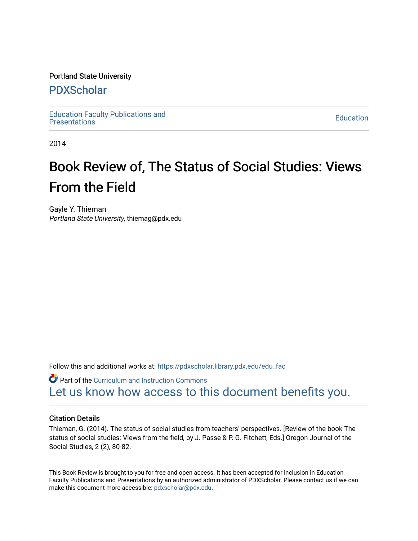#### Portland State University

### [PDXScholar](https://pdxscholar.library.pdx.edu/)

[Education Faculty Publications and](https://pdxscholar.library.pdx.edu/edu_fac)  Education Faculty Publications and the contract of the contract of the Education Education [Presentations](https://pdxscholar.library.pdx.edu/edu_fac) of the contract of the contract of the contract of the contract of the contract of the contract of the contract of th

2014

# Book Review of, The Status of Social Studies: Views From the Field

Gayle Y. Thieman Portland State University, thiemag@pdx.edu

Follow this and additional works at: [https://pdxscholar.library.pdx.edu/edu\\_fac](https://pdxscholar.library.pdx.edu/edu_fac?utm_source=pdxscholar.library.pdx.edu%2Fedu_fac%2F122&utm_medium=PDF&utm_campaign=PDFCoverPages)

**Part of the Curriculum and Instruction Commons** [Let us know how access to this document benefits you.](http://library.pdx.edu/services/pdxscholar-services/pdxscholar-feedback/?ref=https://pdxscholar.library.pdx.edu/edu_fac/122) 

#### Citation Details

Thieman, G. (2014). The status of social studies from teachers' perspectives. [Review of the book The status of social studies: Views from the field, by J. Passe & P. G. Fitchett, Eds.] Oregon Journal of the Social Studies, 2 (2), 80-82.

This Book Review is brought to you for free and open access. It has been accepted for inclusion in Education Faculty Publications and Presentations by an authorized administrator of PDXScholar. Please contact us if we can make this document more accessible: [pdxscholar@pdx.edu.](mailto:pdxscholar@pdx.edu)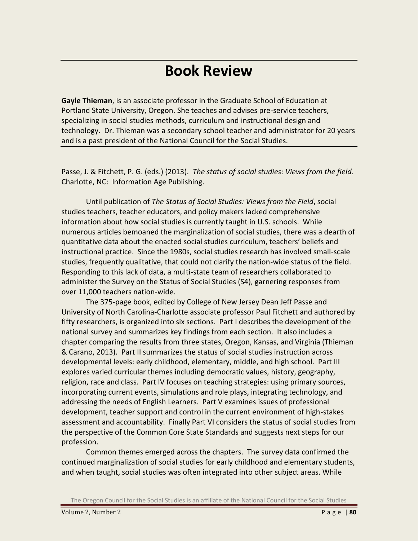## **Book Review**

**Gayle Thieman**, is an associate professor in the Graduate School of Education at Portland State University, Oregon. She teaches and advises pre-service teachers, specializing in social studies methods, curriculum and instructional design and technology. Dr. Thieman was a secondary school teacher and administrator for 20 years and is a past president of the National Council for the Social Studies.

Passe, J. & Fitchett, P. G. (eds.) (2013). *The status of social studies: Views from the field.* Charlotte, NC: Information Age Publishing.

Until publication of *The Status of Social Studies: Views from the Field*, social studies teachers, teacher educators, and policy makers lacked comprehensive information about how social studies is currently taught in U.S. schools. While numerous articles bemoaned the marginalization of social studies, there was a dearth of quantitative data about the enacted social studies curriculum, teachers' beliefs and instructional practice. Since the 1980s, social studies research has involved small-scale studies, frequently qualitative, that could not clarify the nation-wide status of the field. Responding to this lack of data, a multi-state team of researchers collaborated to administer the Survey on the Status of Social Studies (S4), garnering responses from over 11,000 teachers nation-wide.

The 375-page book, edited by College of New Jersey Dean Jeff Passe and University of North Carolina-Charlotte associate professor Paul Fitchett and authored by fifty researchers, is organized into six sections. Part I describes the development of the national survey and summarizes key findings from each section. It also includes a chapter comparing the results from three states, Oregon, Kansas, and Virginia (Thieman & Carano, 2013). Part II summarizes the status of social studies instruction across developmental levels: early childhood, elementary, middle, and high school. Part III explores varied curricular themes including democratic values, history, geography, religion, race and class. Part IV focuses on teaching strategies: using primary sources, incorporating current events, simulations and role plays, integrating technology, and addressing the needs of English Learners. Part V examines issues of professional development, teacher support and control in the current environment of high-stakes assessment and accountability. Finally Part VI considers the status of social studies from the perspective of the Common Core State Standards and suggests next steps for our profession.

Common themes emerged across the chapters. The survey data confirmed the continued marginalization of social studies for early childhood and elementary students, and when taught, social studies was often integrated into other subject areas. While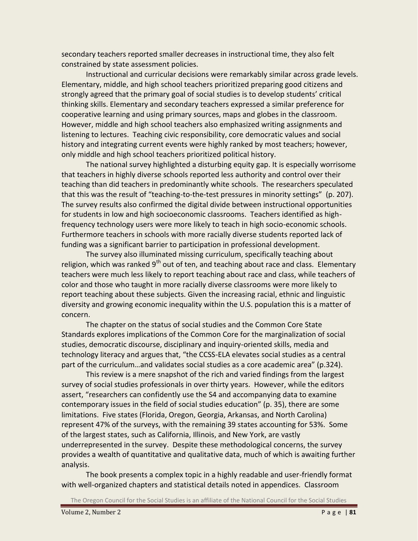secondary teachers reported smaller decreases in instructional time, they also felt constrained by state assessment policies.

Instructional and curricular decisions were remarkably similar across grade levels. Elementary, middle, and high school teachers prioritized preparing good citizens and strongly agreed that the primary goal of social studies is to develop students' critical thinking skills. Elementary and secondary teachers expressed a similar preference for cooperative learning and using primary sources, maps and globes in the classroom. However, middle and high school teachers also emphasized writing assignments and listening to lectures. Teaching civic responsibility, core democratic values and social history and integrating current events were highly ranked by most teachers; however, only middle and high school teachers prioritized political history.

The national survey highlighted a disturbing equity gap. It is especially worrisome that teachers in highly diverse schools reported less authority and control over their teaching than did teachers in predominantly white schools. The researchers speculated that this was the result of "teaching-to-the-test pressures in minority settings" (p. 207). The survey results also confirmed the digital divide between instructional opportunities for students in low and high socioeconomic classrooms. Teachers identified as highfrequency technology users were more likely to teach in high socio-economic schools. Furthermore teachers in schools with more racially diverse students reported lack of funding was a significant barrier to participation in professional development.

The survey also illuminated missing curriculum, specifically teaching about religion, which was ranked 9<sup>th</sup> out of ten, and teaching about race and class. Elementary teachers were much less likely to report teaching about race and class, while teachers of color and those who taught in more racially diverse classrooms were more likely to report teaching about these subjects. Given the increasing racial, ethnic and linguistic diversity and growing economic inequality within the U.S. population this is a matter of concern.

The chapter on the status of social studies and the Common Core State Standards explores implications of the Common Core for the marginalization of social studies, democratic discourse, disciplinary and inquiry-oriented skills, media and technology literacy and argues that, "the CCSS-ELA elevates social studies as a central part of the curriculum…and validates social studies as a core academic area" (p.324).

This review is a mere snapshot of the rich and varied findings from the largest survey of social studies professionals in over thirty years. However, while the editors assert, "researchers can confidently use the S4 and accompanying data to examine contemporary issues in the field of social studies education" (p. 35), there are some limitations. Five states (Florida, Oregon, Georgia, Arkansas, and North Carolina) represent 47% of the surveys, with the remaining 39 states accounting for 53%. Some of the largest states, such as California, Illinois, and New York, are vastly underrepresented in the survey. Despite these methodological concerns, the survey provides a wealth of quantitative and qualitative data, much of which is awaiting further analysis.

The book presents a complex topic in a highly readable and user-friendly format with well-organized chapters and statistical details noted in appendices. Classroom